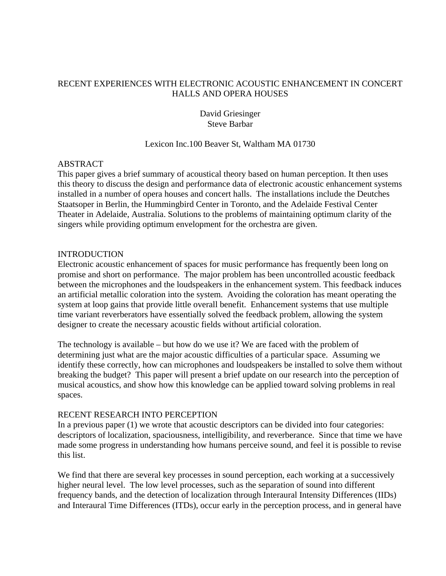## RECENT EXPERIENCES WITH ELECTRONIC ACOUSTIC ENHANCEMENT IN CONCERT HALLS AND OPERA HOUSES

David Griesinger Steve Barbar

### Lexicon Inc.100 Beaver St, Waltham MA 01730

### ABSTRACT

This paper gives a brief summary of acoustical theory based on human perception. It then uses this theory to discuss the design and performance data of electronic acoustic enhancement systems installed in a number of opera houses and concert halls. The installations include the Deutches Staatsoper in Berlin, the Hummingbird Center in Toronto, and the Adelaide Festival Center Theater in Adelaide, Australia. Solutions to the problems of maintaining optimum clarity of the singers while providing optimum envelopment for the orchestra are given.

### INTRODUCTION

Electronic acoustic enhancement of spaces for music performance has frequently been long on promise and short on performance. The major problem has been uncontrolled acoustic feedback between the microphones and the loudspeakers in the enhancement system. This feedback induces an artificial metallic coloration into the system. Avoiding the coloration has meant operating the system at loop gains that provide little overall benefit. Enhancement systems that use multiple time variant reverberators have essentially solved the feedback problem, allowing the system designer to create the necessary acoustic fields without artificial coloration.

The technology is available – but how do we use it? We are faced with the problem of determining just what are the major acoustic difficulties of a particular space. Assuming we identify these correctly, how can microphones and loudspeakers be installed to solve them without breaking the budget? This paper will present a brief update on our research into the perception of musical acoustics, and show how this knowledge can be applied toward solving problems in real spaces.

## RECENT RESEARCH INTO PERCEPTION

In a previous paper (1) we wrote that acoustic descriptors can be divided into four categories: descriptors of localization, spaciousness, intelligibility, and reverberance. Since that time we have made some progress in understanding how humans perceive sound, and feel it is possible to revise this list.

We find that there are several key processes in sound perception, each working at a successively higher neural level. The low level processes, such as the separation of sound into different frequency bands, and the detection of localization through Interaural Intensity Differences (IIDs) and Interaural Time Differences (ITDs), occur early in the perception process, and in general have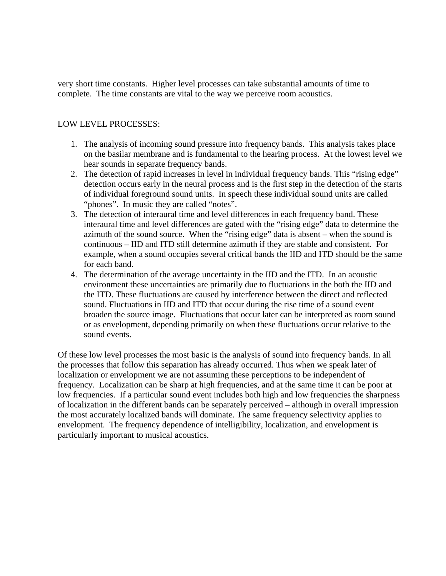very short time constants. Higher level processes can take substantial amounts of time to complete. The time constants are vital to the way we perceive room acoustics.

## LOW LEVEL PROCESSES:

- 1. The analysis of incoming sound pressure into frequency bands. This analysis takes place on the basilar membrane and is fundamental to the hearing process. At the lowest level we hear sounds in separate frequency bands.
- 2. The detection of rapid increases in level in individual frequency bands. This "rising edge" detection occurs early in the neural process and is the first step in the detection of the starts of individual foreground sound units. In speech these individual sound units are called "phones". In music they are called "notes".
- 3. The detection of interaural time and level differences in each frequency band. These interaural time and level differences are gated with the "rising edge" data to determine the azimuth of the sound source. When the "rising edge" data is absent – when the sound is continuous – IID and ITD still determine azimuth if they are stable and consistent. For example, when a sound occupies several critical bands the IID and ITD should be the same for each band.
- 4. The determination of the average uncertainty in the IID and the ITD. In an acoustic environment these uncertainties are primarily due to fluctuations in the both the IID and the ITD. These fluctuations are caused by interference between the direct and reflected sound. Fluctuations in IID and ITD that occur during the rise time of a sound event broaden the source image. Fluctuations that occur later can be interpreted as room sound or as envelopment, depending primarily on when these fluctuations occur relative to the sound events.

Of these low level processes the most basic is the analysis of sound into frequency bands. In all the processes that follow this separation has already occurred. Thus when we speak later of localization or envelopment we are not assuming these perceptions to be independent of frequency. Localization can be sharp at high frequencies, and at the same time it can be poor at low frequencies. If a particular sound event includes both high and low frequencies the sharpness of localization in the different bands can be separately perceived – although in overall impression the most accurately localized bands will dominate. The same frequency selectivity applies to envelopment. The frequency dependence of intelligibility, localization, and envelopment is particularly important to musical acoustics.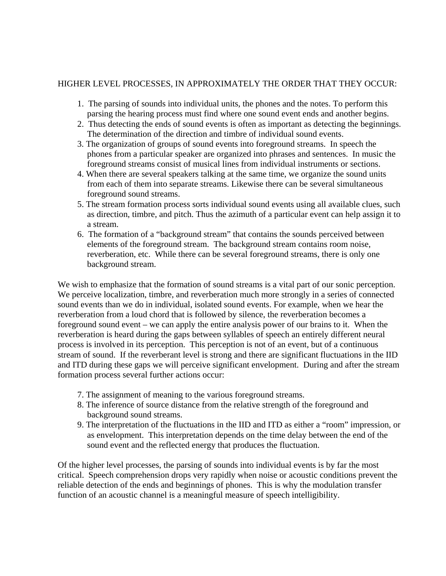# HIGHER LEVEL PROCESSES, IN APPROXIMATELY THE ORDER THAT THEY OCCUR:

- 1. The parsing of sounds into individual units, the phones and the notes. To perform this parsing the hearing process must find where one sound event ends and another begins.
- 2. Thus detecting the ends of sound events is often as important as detecting the beginnings. The determination of the direction and timbre of individual sound events.
- 3. The organization of groups of sound events into foreground streams. In speech the phones from a particular speaker are organized into phrases and sentences. In music the foreground streams consist of musical lines from individual instruments or sections.
- 4. When there are several speakers talking at the same time, we organize the sound units from each of them into separate streams. Likewise there can be several simultaneous foreground sound streams.
- 5. The stream formation process sorts individual sound events using all available clues, such as direction, timbre, and pitch. Thus the azimuth of a particular event can help assign it to a stream.
- 6. The formation of a "background stream" that contains the sounds perceived between elements of the foreground stream. The background stream contains room noise, reverberation, etc. While there can be several foreground streams, there is only one background stream.

We wish to emphasize that the formation of sound streams is a vital part of our sonic perception. We perceive localization, timbre, and reverberation much more strongly in a series of connected sound events than we do in individual, isolated sound events. For example, when we hear the reverberation from a loud chord that is followed by silence, the reverberation becomes a foreground sound event – we can apply the entire analysis power of our brains to it. When the reverberation is heard during the gaps between syllables of speech an entirely different neural process is involved in its perception. This perception is not of an event, but of a continuous stream of sound. If the reverberant level is strong and there are significant fluctuations in the IID and ITD during these gaps we will perceive significant envelopment. During and after the stream formation process several further actions occur:

- 7. The assignment of meaning to the various foreground streams.
- 8. The inference of source distance from the relative strength of the foreground and background sound streams.
- 9. The interpretation of the fluctuations in the IID and ITD as either a "room" impression, or as envelopment. This interpretation depends on the time delay between the end of the sound event and the reflected energy that produces the fluctuation.

Of the higher level processes, the parsing of sounds into individual events is by far the most critical. Speech comprehension drops very rapidly when noise or acoustic conditions prevent the reliable detection of the ends and beginnings of phones. This is why the modulation transfer function of an acoustic channel is a meaningful measure of speech intelligibility.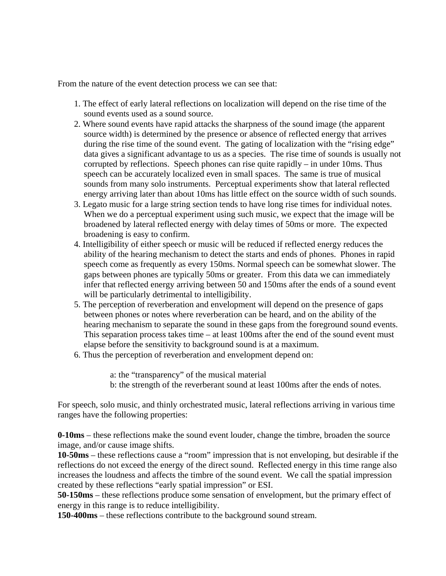From the nature of the event detection process we can see that:

- 1. The effect of early lateral reflections on localization will depend on the rise time of the sound events used as a sound source.
- 2. Where sound events have rapid attacks the sharpness of the sound image (the apparent source width) is determined by the presence or absence of reflected energy that arrives during the rise time of the sound event. The gating of localization with the "rising edge" data gives a significant advantage to us as a species. The rise time of sounds is usually not corrupted by reflections. Speech phones can rise quite rapidly – in under 10ms. Thus speech can be accurately localized even in small spaces. The same is true of musical sounds from many solo instruments. Perceptual experiments show that lateral reflected energy arriving later than about 10ms has little effect on the source width of such sounds.
- 3. Legato music for a large string section tends to have long rise times for individual notes. When we do a perceptual experiment using such music, we expect that the image will be broadened by lateral reflected energy with delay times of 50ms or more. The expected broadening is easy to confirm.
- 4. Intelligibility of either speech or music will be reduced if reflected energy reduces the ability of the hearing mechanism to detect the starts and ends of phones. Phones in rapid speech come as frequently as every 150ms. Normal speech can be somewhat slower. The gaps between phones are typically 50ms or greater. From this data we can immediately infer that reflected energy arriving between 50 and 150ms after the ends of a sound event will be particularly detrimental to intelligibility.
- 5. The perception of reverberation and envelopment will depend on the presence of gaps between phones or notes where reverberation can be heard, and on the ability of the hearing mechanism to separate the sound in these gaps from the foreground sound events. This separation process takes time – at least 100ms after the end of the sound event must elapse before the sensitivity to background sound is at a maximum.
- 6. Thus the perception of reverberation and envelopment depend on:

a: the "transparency" of the musical material b: the strength of the reverberant sound at least 100ms after the ends of notes.

For speech, solo music, and thinly orchestrated music, lateral reflections arriving in various time ranges have the following properties:

**0-10ms** – these reflections make the sound event louder, change the timbre, broaden the source image, and/or cause image shifts.

**10-50ms** – these reflections cause a "room" impression that is not enveloping, but desirable if the reflections do not exceed the energy of the direct sound. Reflected energy in this time range also increases the loudness and affects the timbre of the sound event. We call the spatial impression created by these reflections "early spatial impression" or ESI.

**50-150ms** – these reflections produce some sensation of envelopment, but the primary effect of energy in this range is to reduce intelligibility.

**150-400ms** – these reflections contribute to the background sound stream.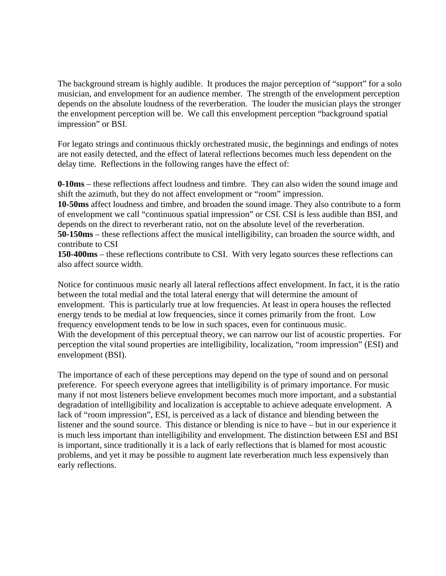The background stream is highly audible. It produces the major perception of "support" for a solo musician, and envelopment for an audience member. The strength of the envelopment perception depends on the absolute loudness of the reverberation. The louder the musician plays the stronger the envelopment perception will be. We call this envelopment perception "background spatial impression" or BSI.

For legato strings and continuous thickly orchestrated music, the beginnings and endings of notes are not easily detected, and the effect of lateral reflections becomes much less dependent on the delay time. Reflections in the following ranges have the effect of:

**0-10ms** – these reflections affect loudness and timbre. They can also widen the sound image and shift the azimuth, but they do not affect envelopment or "room" impression.

**10-50ms** affect loudness and timbre, and broaden the sound image. They also contribute to a form of envelopment we call "continuous spatial impression" or CSI. CSI is less audible than BSI, and depends on the direct to reverberant ratio, not on the absolute level of the reverberation.

**50-150ms** – these reflections affect the musical intelligibility, can broaden the source width, and contribute to CSI

**150-400ms** – these reflections contribute to CSI. With very legato sources these reflections can also affect source width.

Notice for continuous music nearly all lateral reflections affect envelopment. In fact, it is the ratio between the total medial and the total lateral energy that will determine the amount of envelopment. This is particularly true at low frequencies. At least in opera houses the reflected energy tends to be medial at low frequencies, since it comes primarily from the front. Low frequency envelopment tends to be low in such spaces, even for continuous music. With the development of this perceptual theory, we can narrow our list of acoustic properties. For perception the vital sound properties are intelligibility, localization, "room impression" (ESI) and envelopment (BSI).

The importance of each of these perceptions may depend on the type of sound and on personal preference. For speech everyone agrees that intelligibility is of primary importance. For music many if not most listeners believe envelopment becomes much more important, and a substantial degradation of intelligibility and localization is acceptable to achieve adequate envelopment. A lack of "room impression", ESI, is perceived as a lack of distance and blending between the listener and the sound source. This distance or blending is nice to have – but in our experience it is much less important than intelligibility and envelopment. The distinction between ESI and BSI is important, since traditionally it is a lack of early reflections that is blamed for most acoustic problems, and yet it may be possible to augment late reverberation much less expensively than early reflections.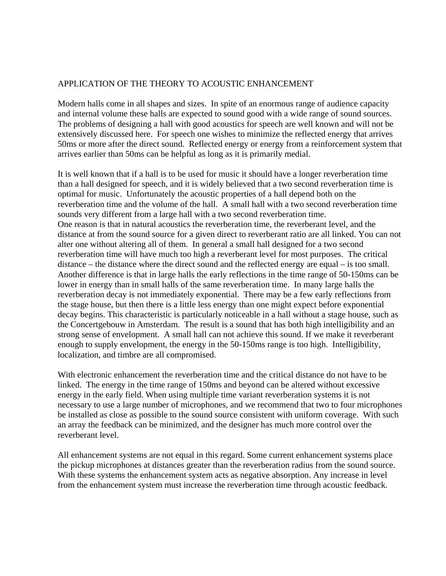## APPLICATION OF THE THEORY TO ACOUSTIC ENHANCEMENT

Modern halls come in all shapes and sizes. In spite of an enormous range of audience capacity and internal volume these halls are expected to sound good with a wide range of sound sources. The problems of designing a hall with good acoustics for speech are well known and will not be extensively discussed here. For speech one wishes to minimize the reflected energy that arrives 50ms or more after the direct sound. Reflected energy or energy from a reinforcement system that arrives earlier than 50ms can be helpful as long as it is primarily medial.

It is well known that if a hall is to be used for music it should have a longer reverberation time than a hall designed for speech, and it is widely believed that a two second reverberation time is optimal for music. Unfortunately the acoustic properties of a hall depend both on the reverberation time and the volume of the hall. A small hall with a two second reverberation time sounds very different from a large hall with a two second reverberation time. One reason is that in natural acoustics the reverberation time, the reverberant level, and the distance at from the sound source for a given direct to reverberant ratio are all linked. You can not alter one without altering all of them. In general a small hall designed for a two second reverberation time will have much too high a reverberant level for most purposes. The critical distance – the distance where the direct sound and the reflected energy are equal – is too small. Another difference is that in large halls the early reflections in the time range of 50-150ms can be lower in energy than in small halls of the same reverberation time. In many large halls the reverberation decay is not immediately exponential. There may be a few early reflections from the stage house, but then there is a little less energy than one might expect before exponential decay begins. This characteristic is particularly noticeable in a hall without a stage house, such as the Concertgebouw in Amsterdam. The result is a sound that has both high intelligibility and an strong sense of envelopment. A small hall can not achieve this sound. If we make it reverberant enough to supply envelopment, the energy in the 50-150ms range is too high. Intelligibility, localization, and timbre are all compromised.

With electronic enhancement the reverberation time and the critical distance do not have to be linked. The energy in the time range of 150ms and beyond can be altered without excessive energy in the early field. When using multiple time variant reverberation systems it is not necessary to use a large number of microphones, and we recommend that two to four microphones be installed as close as possible to the sound source consistent with uniform coverage. With such an array the feedback can be minimized, and the designer has much more control over the reverberant level.

All enhancement systems are not equal in this regard. Some current enhancement systems place the pickup microphones at distances greater than the reverberation radius from the sound source. With these systems the enhancement system acts as negative absorption. Any increase in level from the enhancement system must increase the reverberation time through acoustic feedback.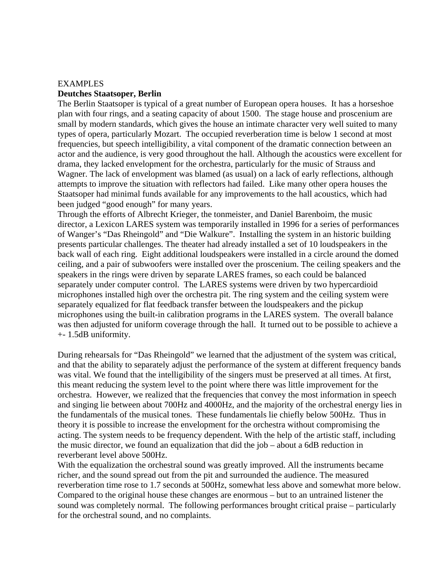# EXAMPLES **Deutches Staatsoper, Berlin**

The Berlin Staatsoper is typical of a great number of European opera houses. It has a horseshoe plan with four rings, and a seating capacity of about 1500. The stage house and proscenium are small by modern standards, which gives the house an intimate character very well suited to many types of opera, particularly Mozart. The occupied reverberation time is below 1 second at most frequencies, but speech intelligibility, a vital component of the dramatic connection between an actor and the audience, is very good throughout the hall. Although the acoustics were excellent for drama, they lacked envelopment for the orchestra, particularly for the music of Strauss and Wagner. The lack of envelopment was blamed (as usual) on a lack of early reflections, although attempts to improve the situation with reflectors had failed. Like many other opera houses the Staatsoper had minimal funds available for any improvements to the hall acoustics, which had been judged "good enough" for many years.

Through the efforts of Albrecht Krieger, the tonmeister, and Daniel Barenboim, the music director, a Lexicon LARES system was temporarily installed in 1996 for a series of performances of Wanger's "Das Rheingold" and "Die Walkure". Installing the system in an historic building presents particular challenges. The theater had already installed a set of 10 loudspeakers in the back wall of each ring. Eight additional loudspeakers were installed in a circle around the domed ceiling, and a pair of subwoofers were installed over the proscenium. The ceiling speakers and the speakers in the rings were driven by separate LARES frames, so each could be balanced separately under computer control. The LARES systems were driven by two hypercardioid microphones installed high over the orchestra pit. The ring system and the ceiling system were separately equalized for flat feedback transfer between the loudspeakers and the pickup microphones using the built-in calibration programs in the LARES system. The overall balance was then adjusted for uniform coverage through the hall. It turned out to be possible to achieve a +- 1.5dB uniformity.

During rehearsals for "Das Rheingold" we learned that the adjustment of the system was critical, and that the ability to separately adjust the performance of the system at different frequency bands was vital. We found that the intelligibility of the singers must be preserved at all times. At first, this meant reducing the system level to the point where there was little improvement for the orchestra. However, we realized that the frequencies that convey the most information in speech and singing lie between about 700Hz and 4000Hz, and the majority of the orchestral energy lies in the fundamentals of the musical tones. These fundamentals lie chiefly below 500Hz. Thus in theory it is possible to increase the envelopment for the orchestra without compromising the acting. The system needs to be frequency dependent. With the help of the artistic staff, including the music director, we found an equalization that did the job – about a 6dB reduction in reverberant level above 500Hz.

With the equalization the orchestral sound was greatly improved. All the instruments became richer, and the sound spread out from the pit and surrounded the audience. The measured reverberation time rose to 1.7 seconds at 500Hz, somewhat less above and somewhat more below. Compared to the original house these changes are enormous – but to an untrained listener the sound was completely normal. The following performances brought critical praise – particularly for the orchestral sound, and no complaints.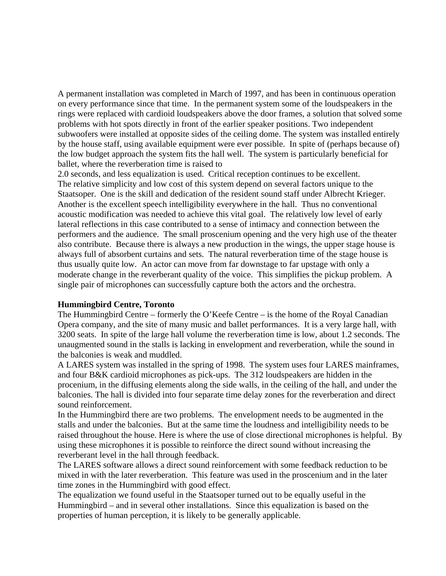A permanent installation was completed in March of 1997, and has been in continuous operation on every performance since that time. In the permanent system some of the loudspeakers in the rings were replaced with cardioid loudspeakers above the door frames, a solution that solved some problems with hot spots directly in front of the earlier speaker positions. Two independent subwoofers were installed at opposite sides of the ceiling dome. The system was installed entirely by the house staff, using available equipment were ever possible. In spite of (perhaps because of) the low budget approach the system fits the hall well. The system is particularly beneficial for ballet, where the reverberation time is raised to

2.0 seconds, and less equalization is used. Critical reception continues to be excellent. The relative simplicity and low cost of this system depend on several factors unique to the Staatsoper. One is the skill and dedication of the resident sound staff under Albrecht Krieger. Another is the excellent speech intelligibility everywhere in the hall. Thus no conventional acoustic modification was needed to achieve this vital goal. The relatively low level of early lateral reflections in this case contributed to a sense of intimacy and connection between the performers and the audience. The small proscenium opening and the very high use of the theater also contribute. Because there is always a new production in the wings, the upper stage house is always full of absorbent curtains and sets. The natural reverberation time of the stage house is thus usually quite low. An actor can move from far downstage to far upstage with only a moderate change in the reverberant quality of the voice. This simplifies the pickup problem. A single pair of microphones can successfully capture both the actors and the orchestra.

## **Hummingbird Centre, Toronto**

The Hummingbird Centre – formerly the O'Keefe Centre – is the home of the Royal Canadian Opera company, and the site of many music and ballet performances. It is a very large hall, with 3200 seats. In spite of the large hall volume the reverberation time is low, about 1.2 seconds. The unaugmented sound in the stalls is lacking in envelopment and reverberation, while the sound in the balconies is weak and muddled.

A LARES system was installed in the spring of 1998. The system uses four LARES mainframes, and four B&K cardioid microphones as pick-ups. The 312 loudspeakers are hidden in the procenium, in the diffusing elements along the side walls, in the ceiling of the hall, and under the balconies. The hall is divided into four separate time delay zones for the reverberation and direct sound reinforcement.

In the Hummingbird there are two problems. The envelopment needs to be augmented in the stalls and under the balconies. But at the same time the loudness and intelligibility needs to be raised throughout the house. Here is where the use of close directional microphones is helpful. By using these microphones it is possible to reinforce the direct sound without increasing the reverberant level in the hall through feedback.

The LARES software allows a direct sound reinforcement with some feedback reduction to be mixed in with the later reverberation. This feature was used in the proscenium and in the later time zones in the Hummingbird with good effect.

The equalization we found useful in the Staatsoper turned out to be equally useful in the Hummingbird – and in several other installations. Since this equalization is based on the properties of human perception, it is likely to be generally applicable.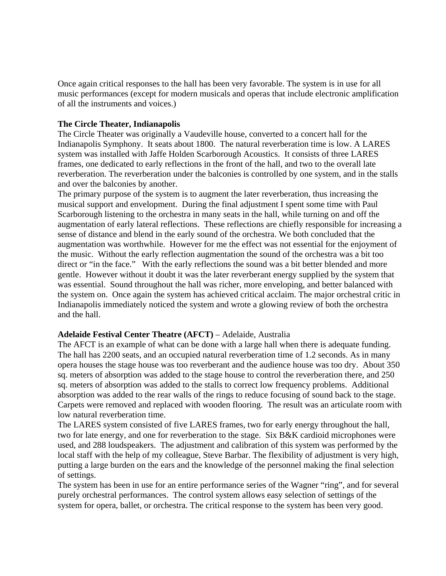Once again critical responses to the hall has been very favorable. The system is in use for all music performances (except for modern musicals and operas that include electronic amplification of all the instruments and voices.)

## **The Circle Theater, Indianapolis**

The Circle Theater was originally a Vaudeville house, converted to a concert hall for the Indianapolis Symphony. It seats about 1800. The natural reverberation time is low. A LARES system was installed with Jaffe Holden Scarborough Acoustics. It consists of three LARES frames, one dedicated to early reflections in the front of the hall, and two to the overall late reverberation. The reverberation under the balconies is controlled by one system, and in the stalls and over the balconies by another.

The primary purpose of the system is to augment the later reverberation, thus increasing the musical support and envelopment. During the final adjustment I spent some time with Paul Scarborough listening to the orchestra in many seats in the hall, while turning on and off the augmentation of early lateral reflections. These reflections are chiefly responsible for increasing a sense of distance and blend in the early sound of the orchestra. We both concluded that the augmentation was worthwhile. However for me the effect was not essential for the enjoyment of the music. Without the early reflection augmentation the sound of the orchestra was a bit too direct or "in the face." With the early reflections the sound was a bit better blended and more gentle. However without it doubt it was the later reverberant energy supplied by the system that was essential. Sound throughout the hall was richer, more enveloping, and better balanced with the system on. Once again the system has achieved critical acclaim. The major orchestral critic in Indianapolis immediately noticed the system and wrote a glowing review of both the orchestra and the hall.

## **Adelaide Festival Center Theatre (AFCT)** – Adelaide, Australia

The AFCT is an example of what can be done with a large hall when there is adequate funding. The hall has 2200 seats, and an occupied natural reverberation time of 1.2 seconds. As in many opera houses the stage house was too reverberant and the audience house was too dry. About 350 sq. meters of absorption was added to the stage house to control the reverberation there, and 250 sq. meters of absorption was added to the stalls to correct low frequency problems. Additional absorption was added to the rear walls of the rings to reduce focusing of sound back to the stage. Carpets were removed and replaced with wooden flooring. The result was an articulate room with low natural reverberation time.

The LARES system consisted of five LARES frames, two for early energy throughout the hall, two for late energy, and one for reverberation to the stage. Six B&K cardioid microphones were used, and 288 loudspeakers. The adjustment and calibration of this system was performed by the local staff with the help of my colleague, Steve Barbar. The flexibility of adjustment is very high, putting a large burden on the ears and the knowledge of the personnel making the final selection of settings.

The system has been in use for an entire performance series of the Wagner "ring", and for several purely orchestral performances. The control system allows easy selection of settings of the system for opera, ballet, or orchestra. The critical response to the system has been very good.